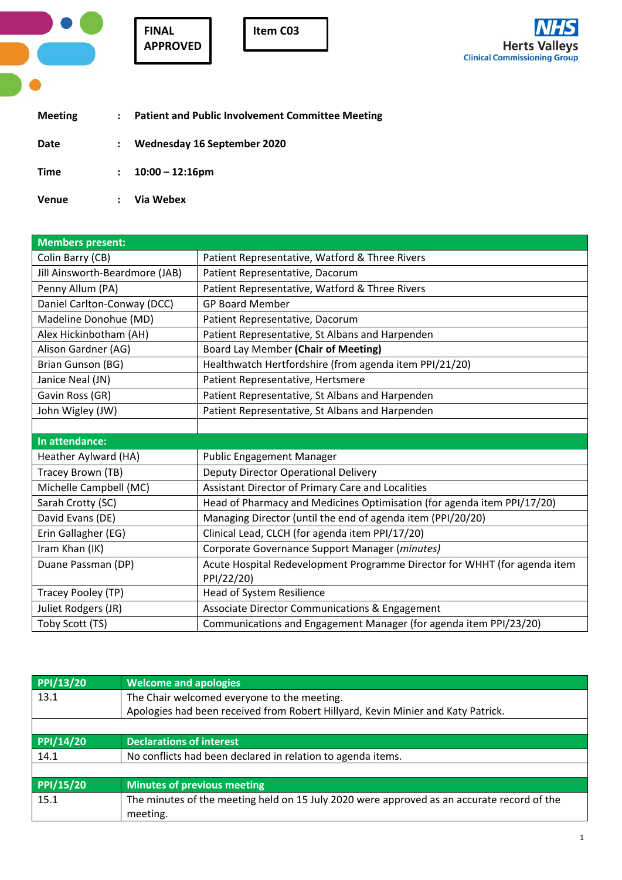| ÷<br>ਨ ਅ |      |
|----------|------|
| ×        | - 23 |
| o a      |      |

**Item C03**



| <b>Meeting</b> |                      | <b>Patient and Public Involvement Committee Meeting</b> |
|----------------|----------------------|---------------------------------------------------------|
| Date           | $\ddot{\phantom{a}}$ | Wednesday 16 September 2020                             |
| <b>Time</b>    | $\mathbf{r}$         | $10:00 - 12:16$ pm                                      |
| <b>Venue</b>   |                      | Via Webex                                               |

| <b>Members present:</b>        |                                                                           |
|--------------------------------|---------------------------------------------------------------------------|
| Colin Barry (CB)               | Patient Representative, Watford & Three Rivers                            |
| Jill Ainsworth-Beardmore (JAB) | Patient Representative, Dacorum                                           |
| Penny Allum (PA)               | Patient Representative, Watford & Three Rivers                            |
| Daniel Carlton-Conway (DCC)    | <b>GP Board Member</b>                                                    |
| Madeline Donohue (MD)          | Patient Representative, Dacorum                                           |
| Alex Hickinbotham (AH)         | Patient Representative, St Albans and Harpenden                           |
| Alison Gardner (AG)            | Board Lay Member (Chair of Meeting)                                       |
| Brian Gunson (BG)              | Healthwatch Hertfordshire (from agenda item PPI/21/20)                    |
| Janice Neal (JN)               | Patient Representative, Hertsmere                                         |
| Gavin Ross (GR)                | Patient Representative, St Albans and Harpenden                           |
| John Wigley (JW)               | Patient Representative, St Albans and Harpenden                           |
|                                |                                                                           |
| In attendance:                 |                                                                           |
| Heather Aylward (HA)           | <b>Public Engagement Manager</b>                                          |
| Tracey Brown (TB)              | Deputy Director Operational Delivery                                      |
| Michelle Campbell (MC)         | Assistant Director of Primary Care and Localities                         |
| Sarah Crotty (SC)              | Head of Pharmacy and Medicines Optimisation (for agenda item PPI/17/20)   |
| David Evans (DE)               | Managing Director (until the end of agenda item (PPI/20/20)               |
| Erin Gallagher (EG)            | Clinical Lead, CLCH (for agenda item PPI/17/20)                           |
| Iram Khan (IK)                 | Corporate Governance Support Manager (minutes)                            |
| Duane Passman (DP)             | Acute Hospital Redevelopment Programme Director for WHHT (for agenda item |
|                                | PPI/22/20)                                                                |
| Tracey Pooley (TP)             | Head of System Resilience                                                 |
| Juliet Rodgers (JR)            | Associate Director Communications & Engagement                            |
| Toby Scott (TS)                | Communications and Engagement Manager (for agenda item PPI/23/20)         |

| PPI/13/20 | <b>Welcome and apologies</b>                                                               |
|-----------|--------------------------------------------------------------------------------------------|
| 13.1      | The Chair welcomed everyone to the meeting.                                                |
|           | Apologies had been received from Robert Hillyard, Kevin Minier and Katy Patrick.           |
|           |                                                                                            |
| PPI/14/20 | <b>Declarations of interest</b>                                                            |
| 14.1      | No conflicts had been declared in relation to agenda items.                                |
|           |                                                                                            |
| PPI/15/20 | <b>Minutes of previous meeting</b>                                                         |
| 15.1      | The minutes of the meeting held on 15 July 2020 were approved as an accurate record of the |
|           | meeting.                                                                                   |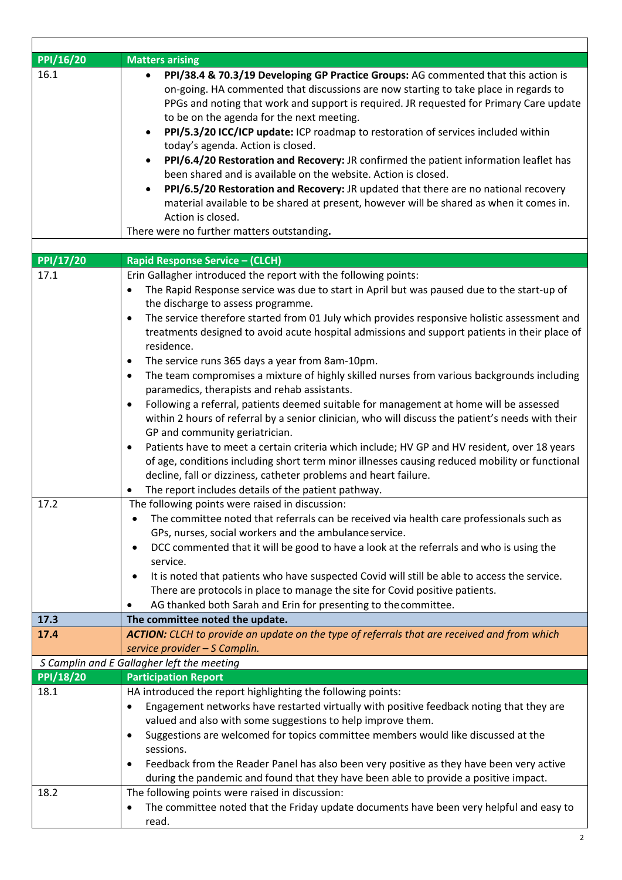| PPI/16/20        | <b>Matters arising</b>                                                                                    |
|------------------|-----------------------------------------------------------------------------------------------------------|
| 16.1             | PPI/38.4 & 70.3/19 Developing GP Practice Groups: AG commented that this action is                        |
|                  | on-going. HA commented that discussions are now starting to take place in regards to                      |
|                  | PPGs and noting that work and support is required. JR requested for Primary Care update                   |
|                  | to be on the agenda for the next meeting.                                                                 |
|                  | PPI/5.3/20 ICC/ICP update: ICP roadmap to restoration of services included within<br>$\bullet$            |
|                  | today's agenda. Action is closed.                                                                         |
|                  | PPI/6.4/20 Restoration and Recovery: JR confirmed the patient information leaflet has<br>$\bullet$        |
|                  | been shared and is available on the website. Action is closed.                                            |
|                  | PPI/6.5/20 Restoration and Recovery: JR updated that there are no national recovery<br>$\bullet$          |
|                  | material available to be shared at present, however will be shared as when it comes in.                   |
|                  | Action is closed.                                                                                         |
|                  | There were no further matters outstanding.                                                                |
|                  |                                                                                                           |
| PPI/17/20        | <b>Rapid Response Service - (CLCH)</b>                                                                    |
| 17.1             | Erin Gallagher introduced the report with the following points:                                           |
|                  | The Rapid Response service was due to start in April but was paused due to the start-up of                |
|                  |                                                                                                           |
|                  | the discharge to assess programme.                                                                        |
|                  | The service therefore started from 01 July which provides responsive holistic assessment and<br>$\bullet$ |
|                  | treatments designed to avoid acute hospital admissions and support patients in their place of             |
|                  | residence.                                                                                                |
|                  | The service runs 365 days a year from 8am-10pm.<br>$\bullet$                                              |
|                  | The team compromises a mixture of highly skilled nurses from various backgrounds including<br>$\bullet$   |
|                  | paramedics, therapists and rehab assistants.                                                              |
|                  | Following a referral, patients deemed suitable for management at home will be assessed<br>$\bullet$       |
|                  | within 2 hours of referral by a senior clinician, who will discuss the patient's needs with their         |
|                  | GP and community geriatrician.                                                                            |
|                  | Patients have to meet a certain criteria which include; HV GP and HV resident, over 18 years              |
|                  | of age, conditions including short term minor illnesses causing reduced mobility or functional            |
|                  | decline, fall or dizziness, catheter problems and heart failure.                                          |
|                  | The report includes details of the patient pathway.                                                       |
| 17.2             | The following points were raised in discussion:                                                           |
|                  | The committee noted that referrals can be received via health care professionals such as                  |
|                  | GPs, nurses, social workers and the ambulance service.                                                    |
|                  | DCC commented that it will be good to have a look at the referrals and who is using the                   |
|                  | service.                                                                                                  |
|                  | It is noted that patients who have suspected Covid will still be able to access the service.<br>$\bullet$ |
|                  | There are protocols in place to manage the site for Covid positive patients.                              |
|                  |                                                                                                           |
|                  | AG thanked both Sarah and Erin for presenting to the committee.                                           |
| 17.3             | The committee noted the update.                                                                           |
| 17.4             | ACTION: CLCH to provide an update on the type of referrals that are received and from which               |
|                  | service provider - S Camplin.                                                                             |
|                  | S Camplin and E Gallagher left the meeting                                                                |
| <b>PPI/18/20</b> | <b>Participation Report</b>                                                                               |
| 18.1             | HA introduced the report highlighting the following points:                                               |
|                  | Engagement networks have restarted virtually with positive feedback noting that they are<br>$\bullet$     |
|                  | valued and also with some suggestions to help improve them.                                               |
|                  | Suggestions are welcomed for topics committee members would like discussed at the                         |
|                  | sessions.                                                                                                 |
|                  | Feedback from the Reader Panel has also been very positive as they have been very active<br>٠             |
|                  | during the pandemic and found that they have been able to provide a positive impact.                      |
| 18.2             | The following points were raised in discussion:                                                           |
|                  | The committee noted that the Friday update documents have been very helpful and easy to<br>٠              |
|                  | read.                                                                                                     |

 $\overline{1}$ 

٦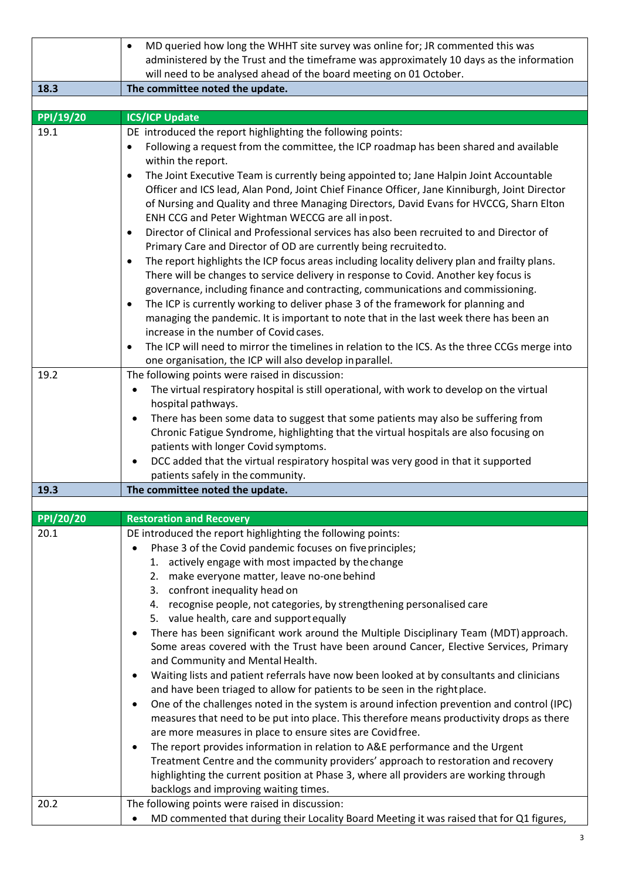|           | MD queried how long the WHHT site survey was online for; JR commented this was<br>$\bullet$                                                                                                                                                                                                                                                                                                                                                                                                                                  |
|-----------|------------------------------------------------------------------------------------------------------------------------------------------------------------------------------------------------------------------------------------------------------------------------------------------------------------------------------------------------------------------------------------------------------------------------------------------------------------------------------------------------------------------------------|
|           | administered by the Trust and the timeframe was approximately 10 days as the information<br>will need to be analysed ahead of the board meeting on 01 October.                                                                                                                                                                                                                                                                                                                                                               |
| 18.3      | The committee noted the update.                                                                                                                                                                                                                                                                                                                                                                                                                                                                                              |
|           |                                                                                                                                                                                                                                                                                                                                                                                                                                                                                                                              |
| PPI/19/20 | <b>ICS/ICP Update</b>                                                                                                                                                                                                                                                                                                                                                                                                                                                                                                        |
| 19.1      | DE introduced the report highlighting the following points:                                                                                                                                                                                                                                                                                                                                                                                                                                                                  |
|           | Following a request from the committee, the ICP roadmap has been shared and available<br>$\bullet$<br>within the report.                                                                                                                                                                                                                                                                                                                                                                                                     |
|           | The Joint Executive Team is currently being appointed to; Jane Halpin Joint Accountable<br>$\bullet$<br>Officer and ICS lead, Alan Pond, Joint Chief Finance Officer, Jane Kinniburgh, Joint Director<br>of Nursing and Quality and three Managing Directors, David Evans for HVCCG, Sharn Elton<br>ENH CCG and Peter Wightman WECCG are all inpost.                                                                                                                                                                         |
|           | Director of Clinical and Professional services has also been recruited to and Director of<br>$\bullet$                                                                                                                                                                                                                                                                                                                                                                                                                       |
|           | Primary Care and Director of OD are currently being recruited to.                                                                                                                                                                                                                                                                                                                                                                                                                                                            |
|           | The report highlights the ICP focus areas including locality delivery plan and frailty plans.<br>$\bullet$<br>There will be changes to service delivery in response to Covid. Another key focus is<br>governance, including finance and contracting, communications and commissioning.<br>The ICP is currently working to deliver phase 3 of the framework for planning and<br>$\bullet$<br>managing the pandemic. It is important to note that in the last week there has been an<br>increase in the number of Covid cases. |
|           | The ICP will need to mirror the timelines in relation to the ICS. As the three CCGs merge into<br>$\bullet$                                                                                                                                                                                                                                                                                                                                                                                                                  |
| 19.2      | one organisation, the ICP will also develop in parallel.                                                                                                                                                                                                                                                                                                                                                                                                                                                                     |
|           | The following points were raised in discussion:<br>The virtual respiratory hospital is still operational, with work to develop on the virtual<br>٠<br>hospital pathways.                                                                                                                                                                                                                                                                                                                                                     |
|           | There has been some data to suggest that some patients may also be suffering from<br>Chronic Fatigue Syndrome, highlighting that the virtual hospitals are also focusing on                                                                                                                                                                                                                                                                                                                                                  |
|           | patients with longer Covid symptoms.                                                                                                                                                                                                                                                                                                                                                                                                                                                                                         |
|           | DCC added that the virtual respiratory hospital was very good in that it supported<br>$\bullet$                                                                                                                                                                                                                                                                                                                                                                                                                              |
|           | patients safely in the community.                                                                                                                                                                                                                                                                                                                                                                                                                                                                                            |
| 19.3      | The committee noted the update.                                                                                                                                                                                                                                                                                                                                                                                                                                                                                              |
| PPI/20/20 | <b>Restoration and Recovery</b>                                                                                                                                                                                                                                                                                                                                                                                                                                                                                              |
| 20.1      | DE introduced the report highlighting the following points:                                                                                                                                                                                                                                                                                                                                                                                                                                                                  |
|           | Phase 3 of the Covid pandemic focuses on five principles;                                                                                                                                                                                                                                                                                                                                                                                                                                                                    |
|           | 1. actively engage with most impacted by the change                                                                                                                                                                                                                                                                                                                                                                                                                                                                          |
|           | 2. make everyone matter, leave no-one behind                                                                                                                                                                                                                                                                                                                                                                                                                                                                                 |
|           | 3. confront inequality head on                                                                                                                                                                                                                                                                                                                                                                                                                                                                                               |
|           | 4. recognise people, not categories, by strengthening personalised care                                                                                                                                                                                                                                                                                                                                                                                                                                                      |
|           | 5. value health, care and support equally                                                                                                                                                                                                                                                                                                                                                                                                                                                                                    |
|           | There has been significant work around the Multiple Disciplinary Team (MDT) approach.<br>Some areas covered with the Trust have been around Cancer, Elective Services, Primary<br>and Community and Mental Health.                                                                                                                                                                                                                                                                                                           |
|           | Waiting lists and patient referrals have now been looked at by consultants and clinicians                                                                                                                                                                                                                                                                                                                                                                                                                                    |
|           | and have been triaged to allow for patients to be seen in the right place.                                                                                                                                                                                                                                                                                                                                                                                                                                                   |
|           | One of the challenges noted in the system is around infection prevention and control (IPC)<br>$\bullet$<br>measures that need to be put into place. This therefore means productivity drops as there<br>are more measures in place to ensure sites are Covidfree.                                                                                                                                                                                                                                                            |
|           | The report provides information in relation to A&E performance and the Urgent                                                                                                                                                                                                                                                                                                                                                                                                                                                |
|           | Treatment Centre and the community providers' approach to restoration and recovery                                                                                                                                                                                                                                                                                                                                                                                                                                           |
|           | highlighting the current position at Phase 3, where all providers are working through<br>backlogs and improving waiting times.                                                                                                                                                                                                                                                                                                                                                                                               |
| 20.2      | The following points were raised in discussion:                                                                                                                                                                                                                                                                                                                                                                                                                                                                              |
|           | MD commented that during their Locality Board Meeting it was raised that for Q1 figures,                                                                                                                                                                                                                                                                                                                                                                                                                                     |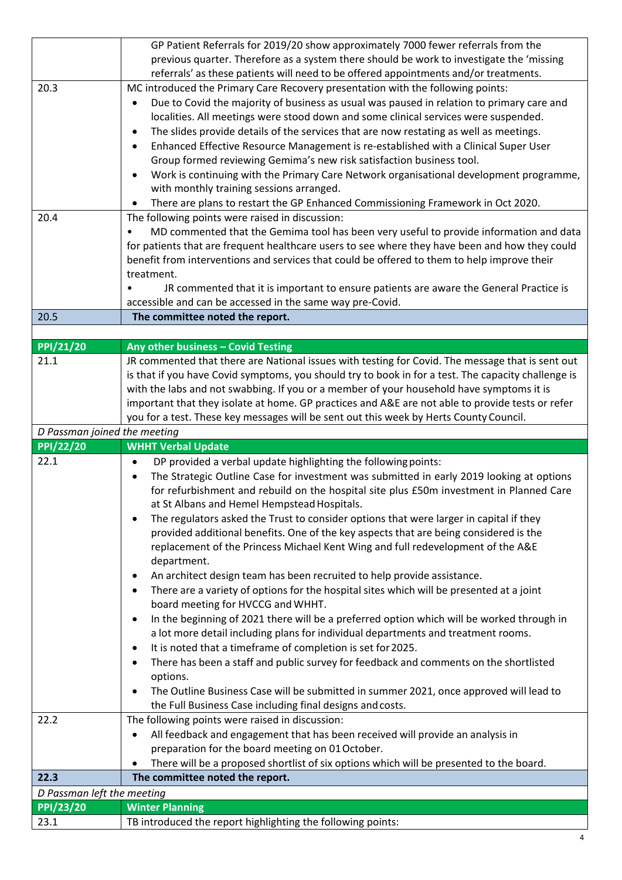|                              | GP Patient Referrals for 2019/20 show approximately 7000 fewer referrals from the                                                                   |
|------------------------------|-----------------------------------------------------------------------------------------------------------------------------------------------------|
|                              | previous quarter. Therefore as a system there should be work to investigate the 'missing                                                            |
|                              | referrals' as these patients will need to be offered appointments and/or treatments.                                                                |
| 20.3                         | MC introduced the Primary Care Recovery presentation with the following points:                                                                     |
|                              | Due to Covid the majority of business as usual was paused in relation to primary care and                                                           |
|                              | localities. All meetings were stood down and some clinical services were suspended.                                                                 |
|                              | The slides provide details of the services that are now restating as well as meetings.<br>$\bullet$                                                 |
|                              | Enhanced Effective Resource Management is re-established with a Clinical Super User                                                                 |
|                              | Group formed reviewing Gemima's new risk satisfaction business tool.                                                                                |
|                              | Work is continuing with the Primary Care Network organisational development programme,<br>$\bullet$                                                 |
|                              | with monthly training sessions arranged.                                                                                                            |
|                              | There are plans to restart the GP Enhanced Commissioning Framework in Oct 2020.                                                                     |
| 20.4                         | The following points were raised in discussion:                                                                                                     |
|                              | MD commented that the Gemima tool has been very useful to provide information and data<br>$\bullet$                                                 |
|                              | for patients that are frequent healthcare users to see where they have been and how they could                                                      |
|                              | benefit from interventions and services that could be offered to them to help improve their                                                         |
|                              | treatment.                                                                                                                                          |
|                              | JR commented that it is important to ensure patients are aware the General Practice is<br>accessible and can be accessed in the same way pre-Covid. |
| 20.5                         | The committee noted the report.                                                                                                                     |
|                              |                                                                                                                                                     |
| PPI/21/20                    | Any other business - Covid Testing                                                                                                                  |
| 21.1                         | JR commented that there are National issues with testing for Covid. The message that is sent out                                                    |
|                              | is that if you have Covid symptoms, you should try to book in for a test. The capacity challenge is                                                 |
|                              | with the labs and not swabbing. If you or a member of your household have symptoms it is                                                            |
|                              | important that they isolate at home. GP practices and A&E are not able to provide tests or refer                                                    |
|                              | you for a test. These key messages will be sent out this week by Herts County Council.                                                              |
| D Passman joined the meeting |                                                                                                                                                     |
|                              |                                                                                                                                                     |
| <b>PPI/22/20</b>             | <b>WHHT Verbal Update</b>                                                                                                                           |
| 22.1                         | DP provided a verbal update highlighting the following points:<br>$\bullet$                                                                         |
|                              | The Strategic Outline Case for investment was submitted in early 2019 looking at options<br>$\bullet$                                               |
|                              | for refurbishment and rebuild on the hospital site plus £50m investment in Planned Care                                                             |
|                              | at St Albans and Hemel Hempstead Hospitals.                                                                                                         |
|                              | The regulators asked the Trust to consider options that were larger in capital if they                                                              |
|                              | provided additional benefits. One of the key aspects that are being considered is the                                                               |
|                              | replacement of the Princess Michael Kent Wing and full redevelopment of the A&E                                                                     |
|                              | department.                                                                                                                                         |
|                              | An architect design team has been recruited to help provide assistance.<br>٠                                                                        |
|                              | There are a variety of options for the hospital sites which will be presented at a joint<br>٠                                                       |
|                              | board meeting for HVCCG and WHHT.                                                                                                                   |
|                              | In the beginning of 2021 there will be a preferred option which will be worked through in<br>$\bullet$                                              |
|                              | a lot more detail including plans for individual departments and treatment rooms.                                                                   |
|                              | It is noted that a timeframe of completion is set for 2025.<br>$\bullet$                                                                            |
|                              | There has been a staff and public survey for feedback and comments on the shortlisted                                                               |
|                              | options.                                                                                                                                            |
|                              | The Outline Business Case will be submitted in summer 2021, once approved will lead to                                                              |
|                              | the Full Business Case including final designs and costs.                                                                                           |
| 22.2                         | The following points were raised in discussion:<br>٠                                                                                                |
|                              | All feedback and engagement that has been received will provide an analysis in                                                                      |
|                              | preparation for the board meeting on 01 October.                                                                                                    |
| 22.3                         | There will be a proposed shortlist of six options which will be presented to the board.<br>The committee noted the report.                          |
| D Passman left the meeting   |                                                                                                                                                     |
| <b>PPI/23/20</b>             | <b>Winter Planning</b>                                                                                                                              |